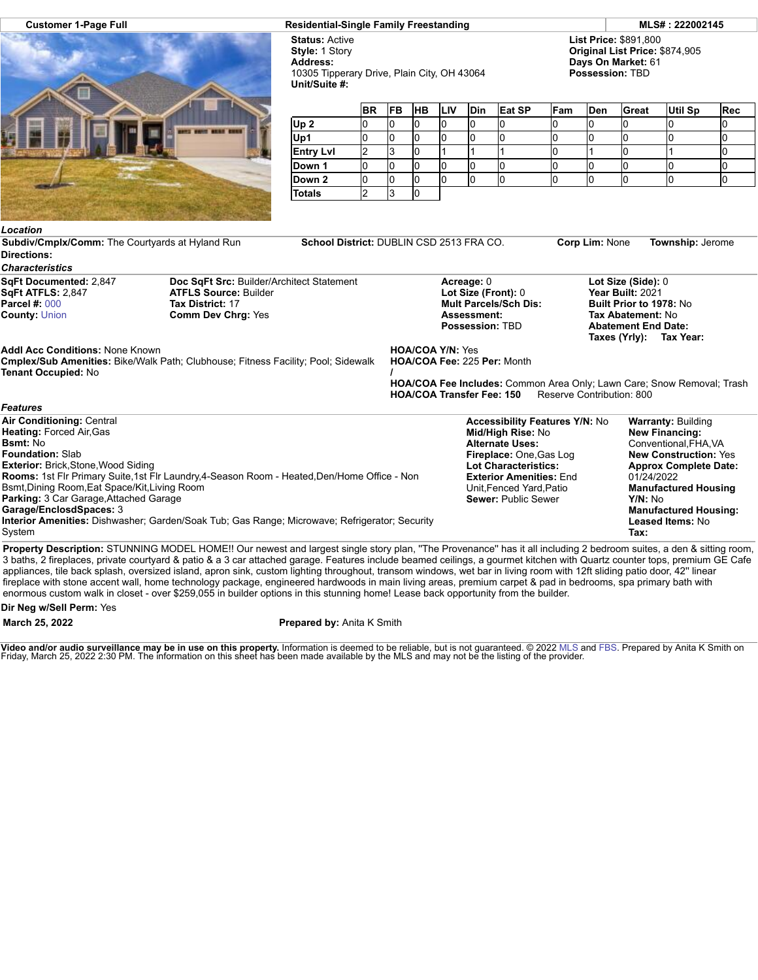

**Customer 1-Page Full Residential-Single Family Freestanding MLS# : 222002145**

**Status:** Active **Style:** 1 Story **Address:** 10305 Tipperary Drive, Plain City, OH 43064 **Unit/Suite #:**

**List Price:** \$891,800 **Original List Price:** \$874,905 **Days On Market:** 61 **Possession:** TBD

|                  | <b>BR</b> | <b>FB</b> | <b>HB</b> | <b>ILIV</b> | <b>Din</b> | Eat SP | Fam | <b>Den</b> | Great | Util Sp | Rec |
|------------------|-----------|-----------|-----------|-------------|------------|--------|-----|------------|-------|---------|-----|
| Up <sub>2</sub>  |           |           |           |             |            |        |     |            |       |         |     |
| Up1              |           | u         | u         |             |            |        |     | u          |       |         |     |
| <b>Entry Lvl</b> |           | J         | ιU        |             |            |        |     |            | u     |         | u   |
| Down 1           | υ         | ιu        | U         |             |            |        |     |            | u     |         | w   |
| Down 2           |           |           |           |             |            |        |     |            |       |         | I U |
| Totals           |           |           |           |             |            |        |     |            |       |         |     |

## *Location* **Subdiv/Cmplx/Comm:** The Courtyards at Hyland Run **School District:** DUBLIN CSD 2513 FRA CO. **Corp Lim:** None **Township:** Jerome **Directions:** *Characteristics* **SqFt Documented:** 2,847 **SqFt ATFLS:** 2,847 **Parcel #:** [000](https://cr.flexmls.com/cgi-bin/mainmenu.cgi?cmd=srv+common/thirdparty/c3pi/populate.html&app=7d0939ae88fc42f8917cb9cd8bc644fc&listing=20220124190047670501000000&type=detail) **County:** [Union](http://www.columbusmls.net/tempoforward/forward.php?&county=Union&parcel=000) **Doc SqFt Src:** Builder/Architect Statement **ATFLS Source:** Builder **Tax District:** 17 **Comm Dev Chrg:** Yes **Acreage:** 0 **Lot Size (Front):** 0 **Mult Parcels/Sch Dis: Assessment: Possession:** TBD **Lot Size (Side):** 0 **Year Built:** 2021 **Built Prior to 1978:** No **Tax Abatement:** No **Abatement End Date: Taxes (Yrly): Tax Year: Addl Acc Conditions:** None Known **Cmplex/Sub Amenities:** Bike/Walk Path; Clubhouse; Fitness Facility; Pool; Sidewalk **Tenant Occupied:** No **HOA/COA Y/N:** Yes **HOA/COA Fee:** 225 **Per:** Month **/ HOA/COA Fee Includes:** Common Area Only; Lawn Care; Snow Removal; Trash **HOA/COA Transfer Fee: 150** *Features*

| <b>Air Conditioning: Central</b>                                                                                                                                             | <b>Accessibility Features Y/N: No</b> | <b>Warranty: Building</b>    |
|------------------------------------------------------------------------------------------------------------------------------------------------------------------------------|---------------------------------------|------------------------------|
| <b>Heating: Forced Air, Gas</b>                                                                                                                                              | Mid/High Rise: No                     | <b>New Financing:</b>        |
| <b>Bsmt:</b> No                                                                                                                                                              | <b>Alternate Uses:</b>                | Conventional.FHA.VA          |
| <b>Foundation: Slab</b>                                                                                                                                                      | Fireplace: One, Gas Log               | <b>New Construction: Yes</b> |
| <b>Exterior: Brick, Stone, Wood Siding</b>                                                                                                                                   | Lot Characteristics:                  | <b>Approx Complete Date:</b> |
| Rooms: 1st Flr Primary Suite, 1st Flr Laundry, 4-Season Room - Heated, Den/Home Office - Non                                                                                 | <b>Exterior Amenities: End.</b>       | 01/24/2022                   |
| Bsmt, Dining Room, Eat Space/Kit, Living Room                                                                                                                                | Unit.Fenced Yard.Patio                | <b>Manufactured Housing</b>  |
| <b>Parking: 3 Car Garage, Attached Garage</b>                                                                                                                                | <b>Sewer: Public Sewer</b>            | Y/N: No                      |
| Garage/EnclosdSpaces: 3                                                                                                                                                      |                                       | <b>Manufactured Housing:</b> |
| Interior Amenities: Dishwasher; Garden/Soak Tub; Gas Range; Microwave; Refrigerator; Security                                                                                |                                       | Leased Items: No             |
| System                                                                                                                                                                       |                                       | Tax:                         |
| <b>Dreparty Deceptedian:</b> CTUNNING MODEL HOMEILOur powert and lergest single starrings. "The Drevenapeall has it all including 2 hadrespeave suites, a dan 8 sitting room |                                       |                              |

**Property Description:** STUNNING MODEL HOME!! Our newest and largest single story plan, ''The Provenance'' has it all including 2 bedroom suites, a den & sitting room, 3 baths, 2 fireplaces, private courtyard & patio & a 3 car attached garage. Features include beamed ceilings, a gourmet kitchen with Quartz counter tops, premium GE Cafe appliances, tile back splash, oversized island, apron sink, custom lighting throughout, transom windows, wet bar in living room with 12ft sliding patio door, 42'' linear fireplace with stone accent wall, home technology package, engineered hardwoods in main living areas, premium carpet & pad in bedrooms, spa primary bath with enormous custom walk in closet - over \$259,055 in builder options in this stunning home! Lease back opportunity from the builder.

**Dir Neg w/Sell Perm:** Yes

**March 25, 2022 Prepared by:** Anita K Smith

**Video and/or audio surveillance may be in use on this property.** Information is deemed to be reliable, but is not guaranteed. © 2022 [MLS](http://www.columbusrealtors.com/) and [FBS](http://www.flexmls.com/copyright_notice.html?2). Prepared by Anita K Smith on<br>Friday, March 25, 2022 2:30 PM. The informatio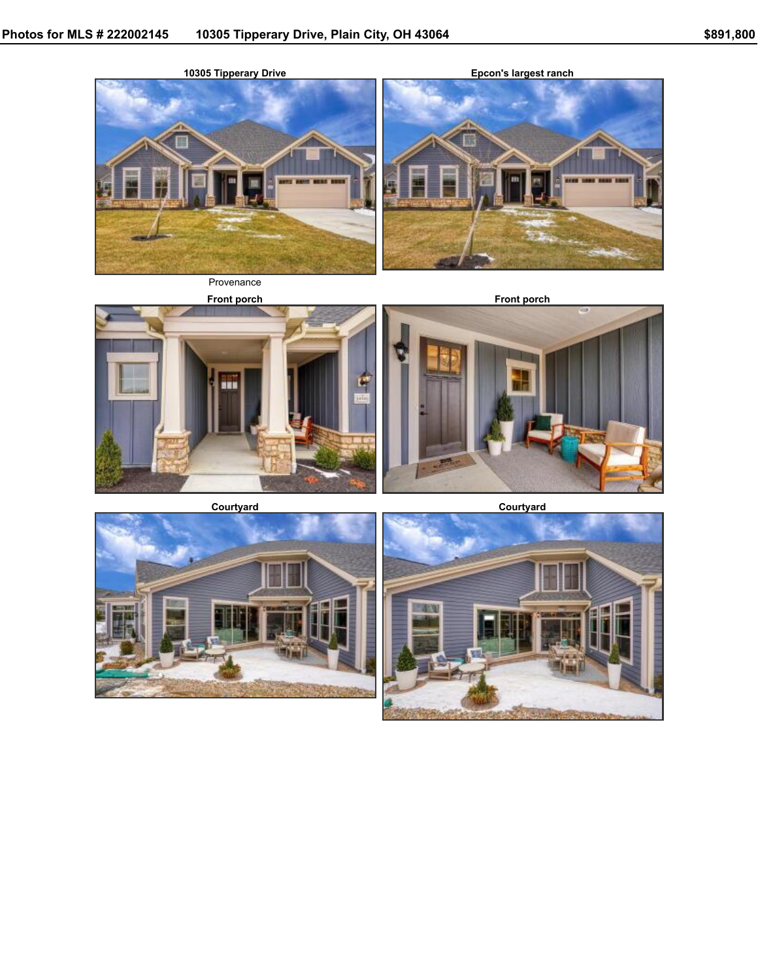

**Epcon's largest ranch**





Provenance







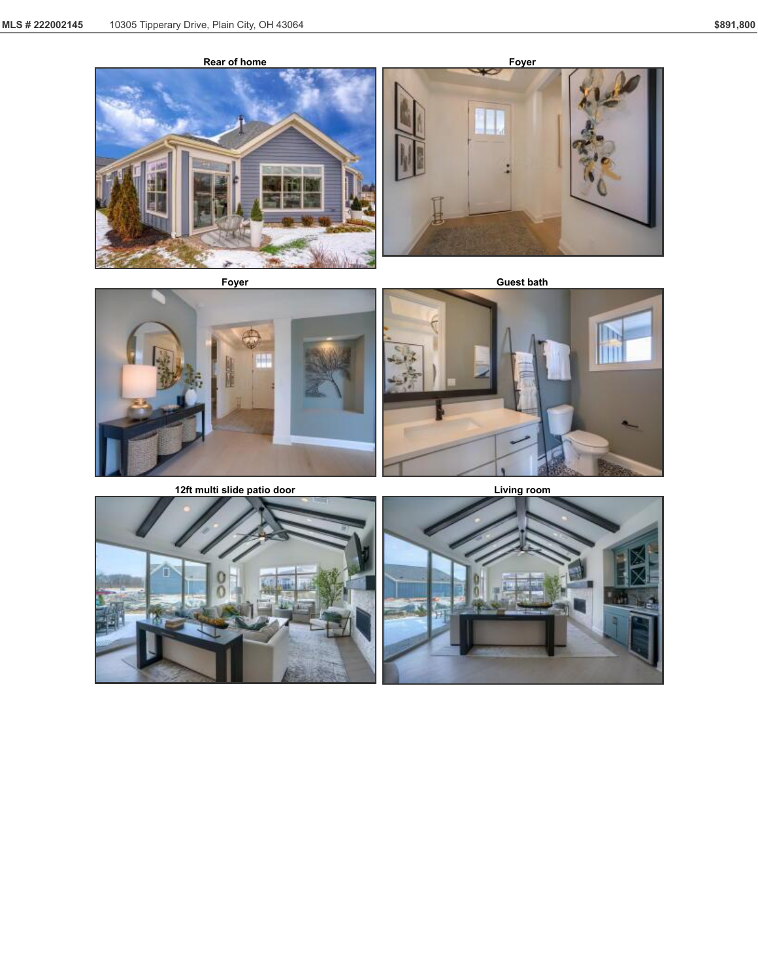







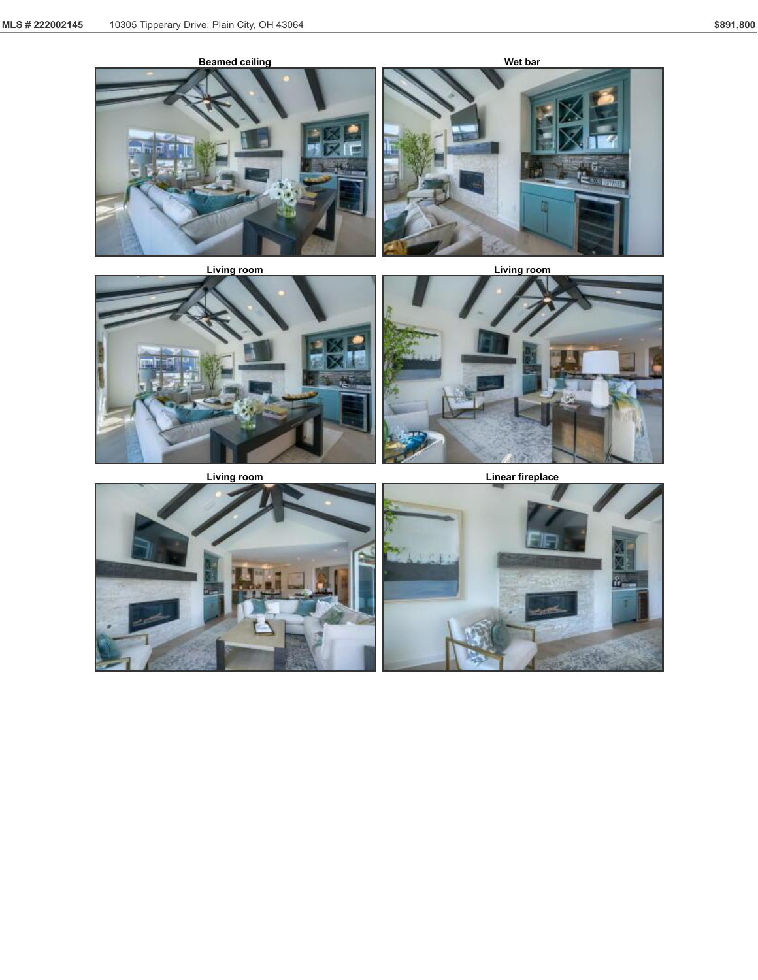







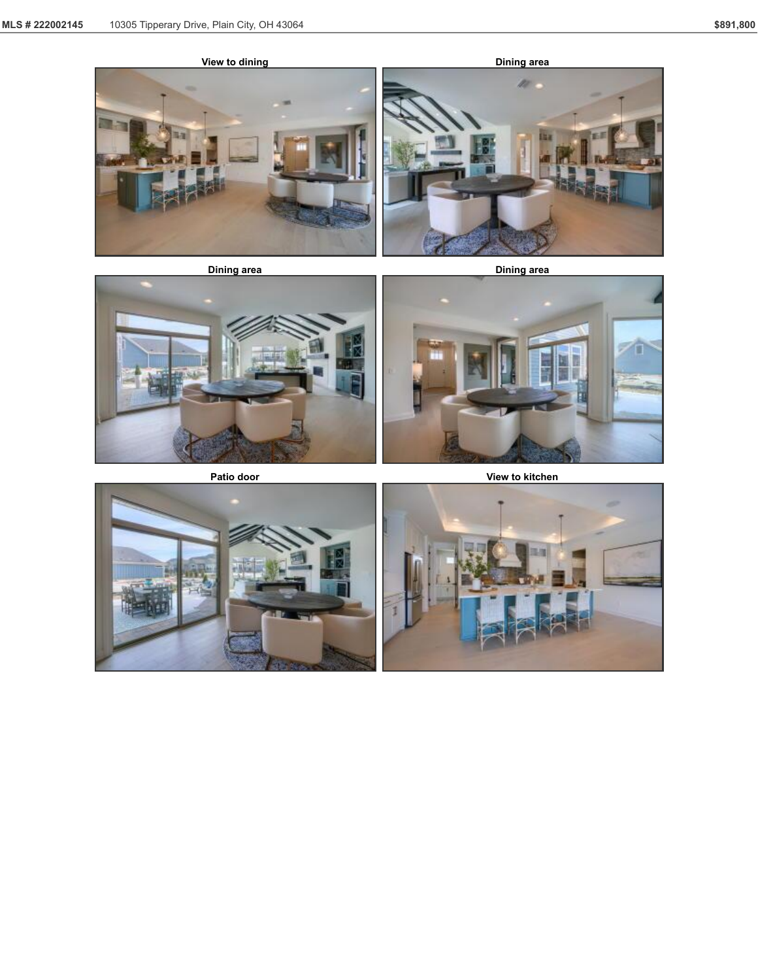







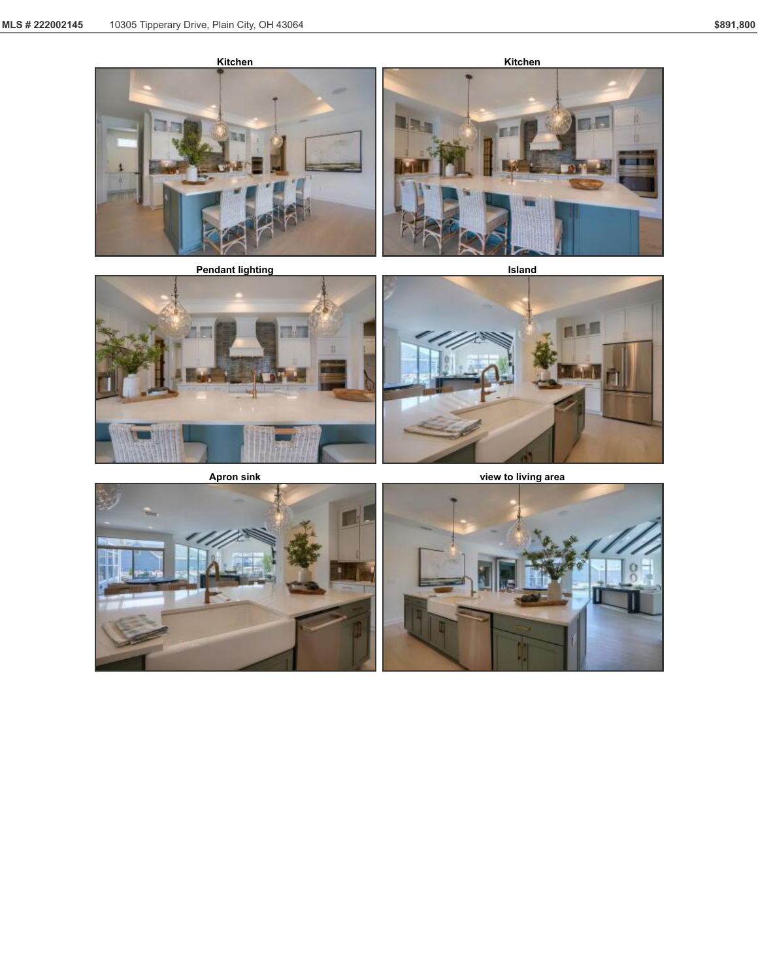



**Apron sink view to living area**



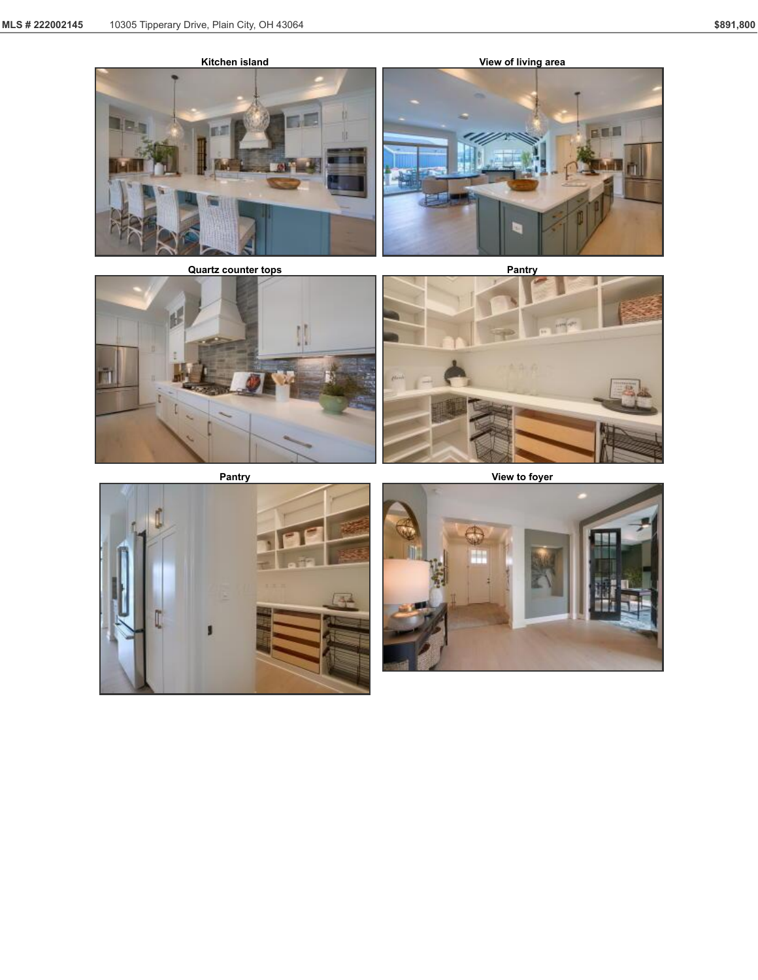











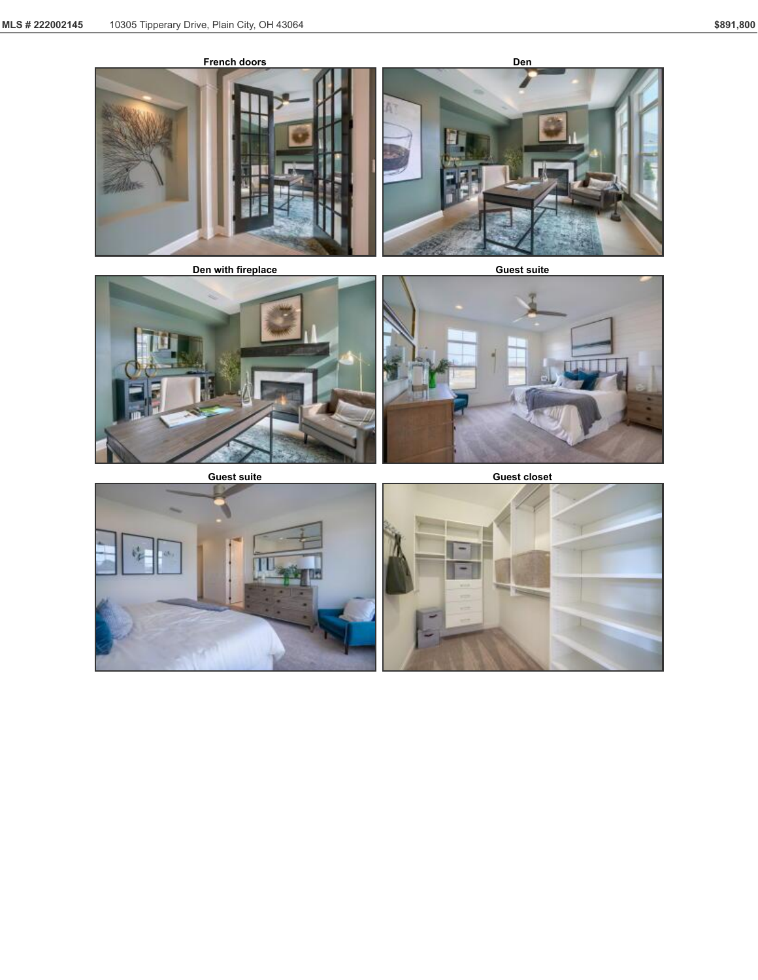









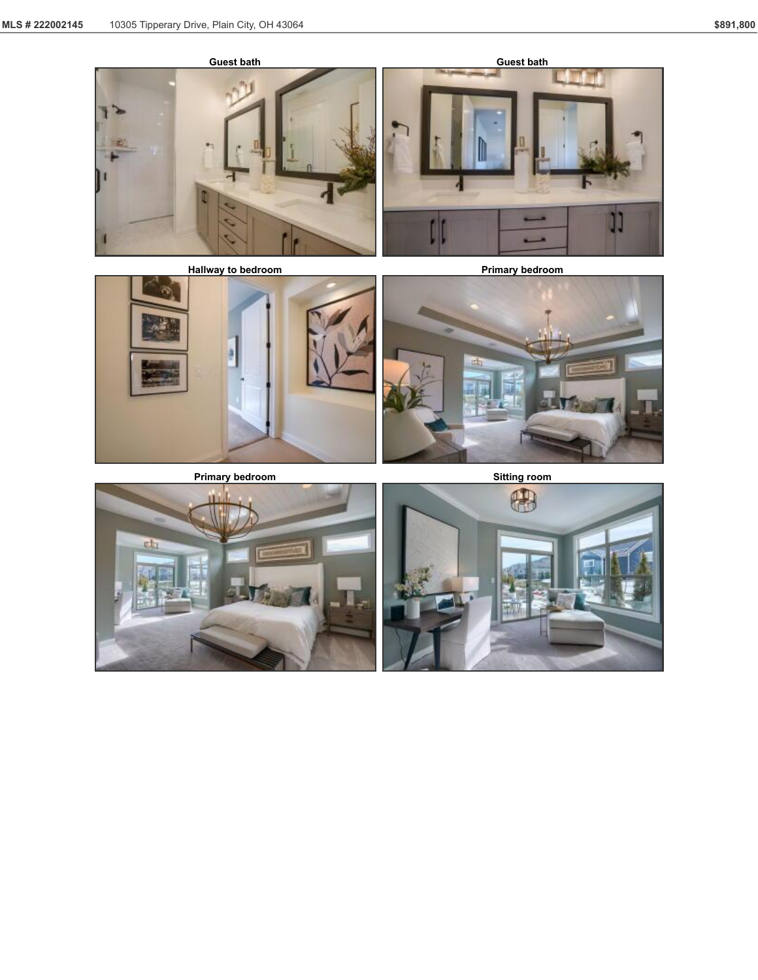





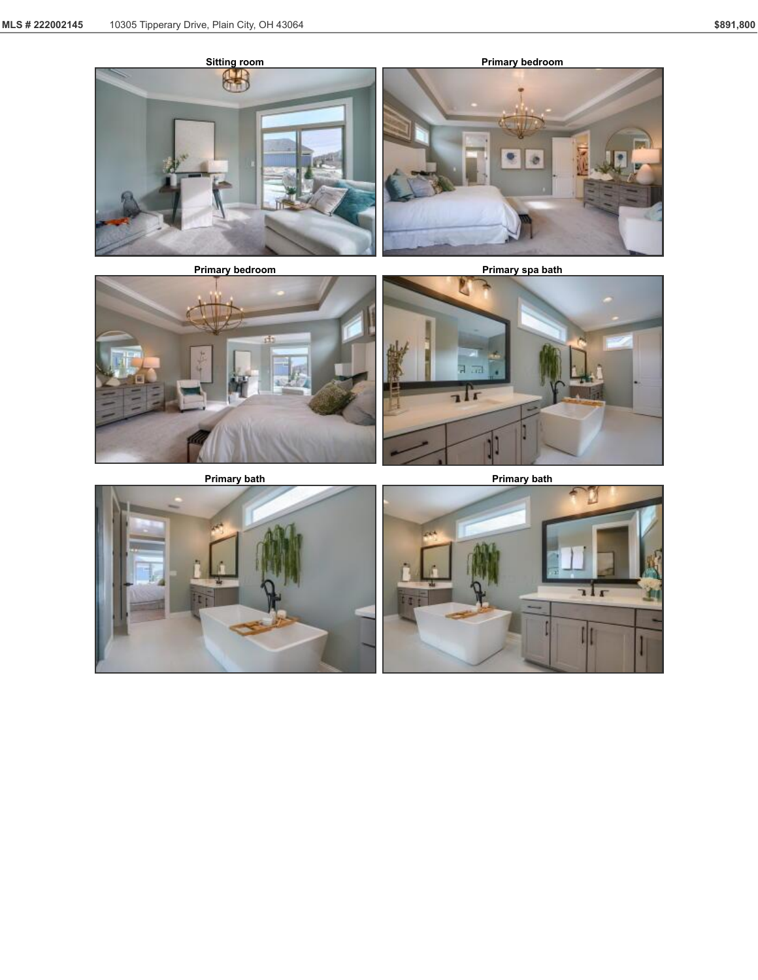







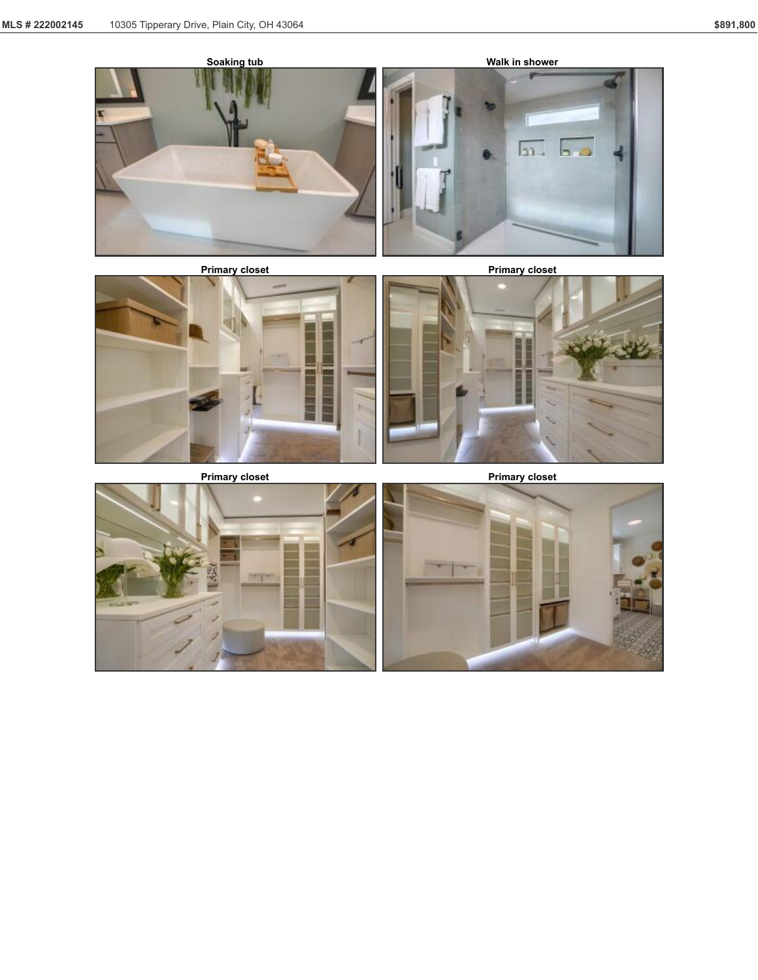







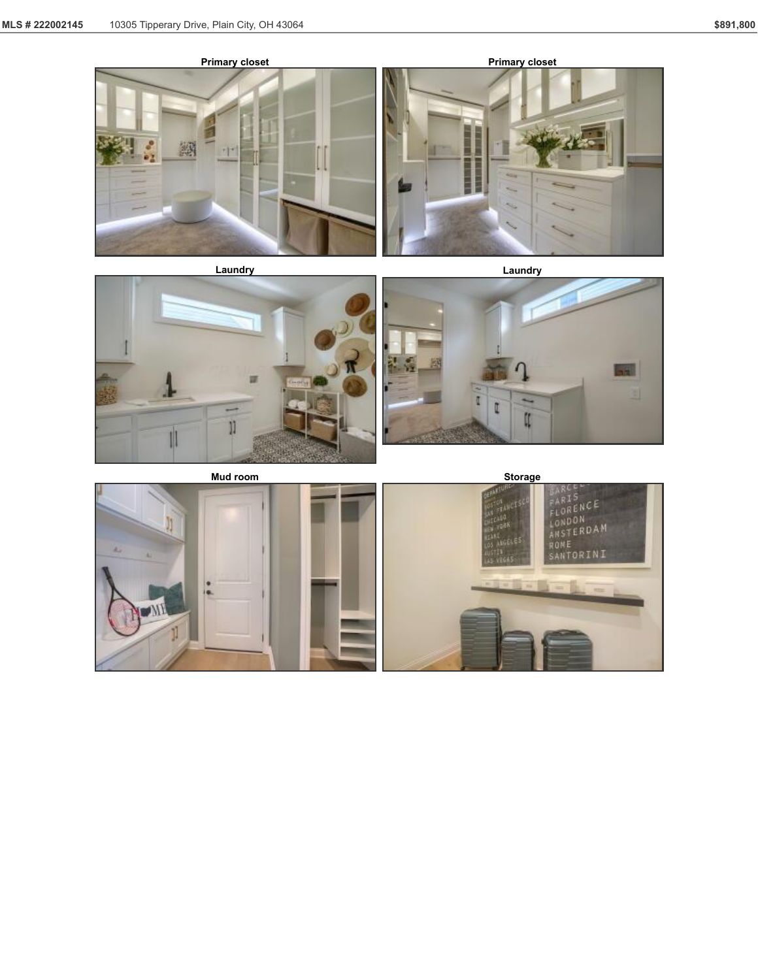